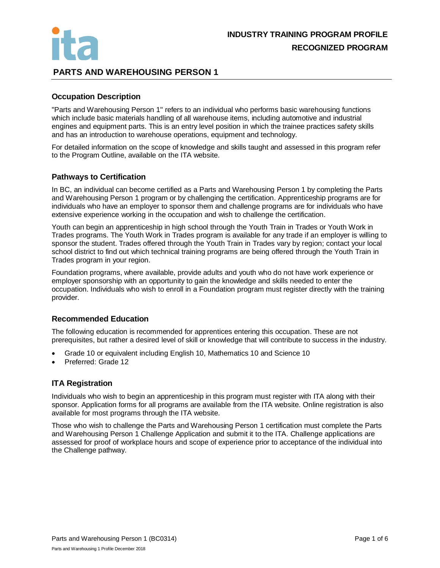

# **PARTS AND WAREHOUSING PERSON 1**

#### **Occupation Description**

"Parts and Warehousing Person 1" refers to an individual who performs basic warehousing functions which include basic materials handling of all warehouse items, including automotive and industrial engines and equipment parts. This is an entry level position in which the trainee practices safety skills and has an introduction to warehouse operations, equipment and technology.

For detailed information on the scope of knowledge and skills taught and assessed in this program refer to the Program Outline, available on the ITA website.

#### **Pathways to Certification**

In BC, an individual can become certified as a Parts and Warehousing Person 1 by completing the Parts and Warehousing Person 1 program or by challenging the certification. Apprenticeship programs are for individuals who have an employer to sponsor them and challenge programs are for individuals who have extensive experience working in the occupation and wish to challenge the certification.

Youth can begin an apprenticeship in high school through the Youth Train in Trades or Youth Work in Trades programs. The Youth Work in Trades program is available for any trade if an employer is willing to sponsor the student. Trades offered through the Youth Train in Trades vary by region; contact your local school district to find out which technical training programs are being offered through the Youth Train in Trades program in your region.

Foundation programs, where available, provide adults and youth who do not have work experience or employer sponsorship with an opportunity to gain the knowledge and skills needed to enter the occupation. Individuals who wish to enroll in a Foundation program must register directly with the training provider.

#### **Recommended Education**

The following education is recommended for apprentices entering this occupation. These are not prerequisites, but rather a desired level of skill or knowledge that will contribute to success in the industry.

- Grade 10 or equivalent including English 10, Mathematics 10 and Science 10
- Preferred: Grade 12

#### **ITA Registration**

Individuals who wish to begin an apprenticeship in this program must register with ITA along with their sponsor. Application forms for all programs are available from the ITA website. Online registration is also available for most programs through the ITA website.

Those who wish to challenge the Parts and Warehousing Person 1 certification must complete the Parts and Warehousing Person 1 Challenge Application and submit it to the ITA. Challenge applications are assessed for proof of workplace hours and scope of experience prior to acceptance of the individual into the Challenge pathway.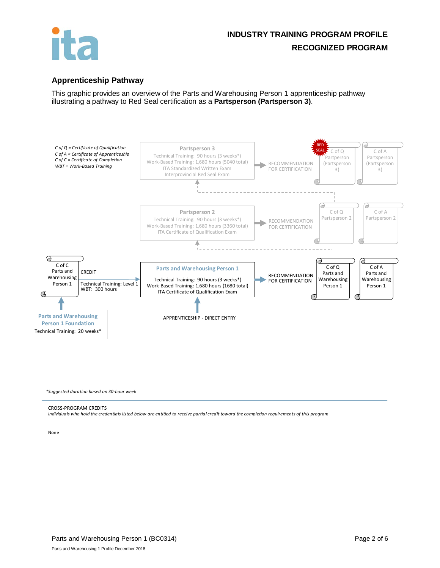

# **INDUSTRY TRAINING PROGRAM PROFILE RECOGNIZED PROGRAM**

### **Apprenticeship Pathway**

This graphic provides an overview of the Parts and Warehousing Person 1 apprenticeship pathway illustrating a pathway to Red Seal certification as a **Partsperson (Partsperson 3)**.



*\*Suggested duration based on 30-hour week*

#### CROSS-PROGRAM CREDITS

*Individuals who hold the credentials listed below are entitled to receive partial credit toward the completion requirements of this program*

None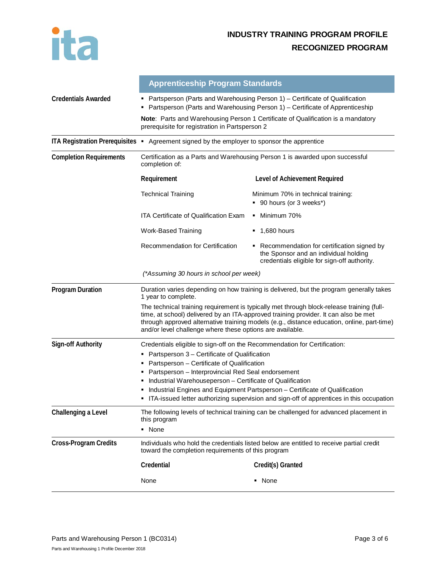

|                                | <b>Apprenticeship Program Standards</b>                                                                                                                                                                                                                                                                                                     |                                                                                                                                       |  |  |
|--------------------------------|---------------------------------------------------------------------------------------------------------------------------------------------------------------------------------------------------------------------------------------------------------------------------------------------------------------------------------------------|---------------------------------------------------------------------------------------------------------------------------------------|--|--|
| <b>Credentials Awarded</b>     | Partsperson (Parts and Warehousing Person 1) - Certificate of Qualification<br>Partsperson (Parts and Warehousing Person 1) – Certificate of Apprenticeship                                                                                                                                                                                 |                                                                                                                                       |  |  |
|                                | Note: Parts and Warehousing Person 1 Certificate of Qualification is a mandatory<br>prerequisite for registration in Partsperson 2                                                                                                                                                                                                          |                                                                                                                                       |  |  |
|                                | ITA Registration Prerequisites • Agreement signed by the employer to sponsor the apprentice                                                                                                                                                                                                                                                 |                                                                                                                                       |  |  |
| <b>Completion Requirements</b> | Certification as a Parts and Warehousing Person 1 is awarded upon successful<br>completion of:                                                                                                                                                                                                                                              |                                                                                                                                       |  |  |
|                                | Requirement                                                                                                                                                                                                                                                                                                                                 | Level of Achievement Required                                                                                                         |  |  |
|                                | <b>Technical Training</b>                                                                                                                                                                                                                                                                                                                   | Minimum 70% in technical training:<br>■ 90 hours (or 3 weeks*)                                                                        |  |  |
|                                | ITA Certificate of Qualification Exam                                                                                                                                                                                                                                                                                                       | • Minimum 70%                                                                                                                         |  |  |
|                                | Work-Based Training                                                                                                                                                                                                                                                                                                                         | $\blacksquare$ 1,680 hours                                                                                                            |  |  |
|                                | <b>Recommendation for Certification</b>                                                                                                                                                                                                                                                                                                     | • Recommendation for certification signed by<br>the Sponsor and an individual holding<br>credentials eligible for sign-off authority. |  |  |
|                                | (*Assuming 30 hours in school per week)                                                                                                                                                                                                                                                                                                     |                                                                                                                                       |  |  |
| <b>Program Duration</b>        | Duration varies depending on how training is delivered, but the program generally takes<br>1 year to complete.                                                                                                                                                                                                                              |                                                                                                                                       |  |  |
|                                | The technical training requirement is typically met through block-release training (full-<br>time, at school) delivered by an ITA-approved training provider. It can also be met<br>through approved alternative training models (e.g., distance education, online, part-time)<br>and/or level challenge where these options are available. |                                                                                                                                       |  |  |
| Sign-off Authority             | Credentials eligible to sign-off on the Recommendation for Certification:                                                                                                                                                                                                                                                                   |                                                                                                                                       |  |  |
|                                | • Partsperson 3 - Certificate of Qualification<br>Partsperson – Certificate of Qualification<br>٠                                                                                                                                                                                                                                           |                                                                                                                                       |  |  |
|                                | Partsperson - Interprovincial Red Seal endorsement                                                                                                                                                                                                                                                                                          |                                                                                                                                       |  |  |
|                                | Industrial Warehouseperson - Certificate of Qualification                                                                                                                                                                                                                                                                                   |                                                                                                                                       |  |  |
|                                | Industrial Engines and Equipment Partsperson - Certificate of Qualification<br>ITA-issued letter authorizing supervision and sign-off of apprentices in this occupation                                                                                                                                                                     |                                                                                                                                       |  |  |
| Challenging a Level            | The following levels of technical training can be challenged for advanced placement in<br>this program                                                                                                                                                                                                                                      |                                                                                                                                       |  |  |
|                                | • None                                                                                                                                                                                                                                                                                                                                      |                                                                                                                                       |  |  |
| <b>Cross-Program Credits</b>   | Individuals who hold the credentials listed below are entitled to receive partial credit<br>toward the completion requirements of this program                                                                                                                                                                                              |                                                                                                                                       |  |  |
|                                | Credential                                                                                                                                                                                                                                                                                                                                  | Credit(s) Granted                                                                                                                     |  |  |
|                                | None                                                                                                                                                                                                                                                                                                                                        | • None                                                                                                                                |  |  |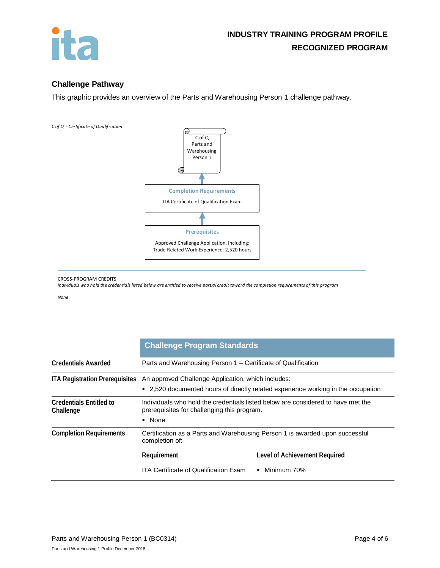

## **Challenge Pathway**

This graphic provides an overview of the Parts and Warehousing Person 1 challenge pathway.



#### CROSS-PROGRAM CREDITS

*Individuals who hold the credentials listed below are entitled to receive partial credit toward the completion requirements of this program*

#### *None*

|                                             | <b>Challenge Program Standards</b>                                                                                                                                     |                               |  |
|---------------------------------------------|------------------------------------------------------------------------------------------------------------------------------------------------------------------------|-------------------------------|--|
| <b>Credentials Awarded</b>                  | Parts and Warehousing Person 1 - Certificate of Qualification                                                                                                          |                               |  |
|                                             | ITA Registration Prerequisites An approved Challenge Application, which includes:<br>" 2,520 documented hours of directly related experience working in the occupation |                               |  |
| <b>Credentials Entitled to</b><br>Challenge | Individuals who hold the credentials listed below are considered to have met the<br>prerequisites for challenging this program.<br>• None                              |                               |  |
| <b>Completion Requirements</b>              | Certification as a Parts and Warehousing Person 1 is awarded upon successful<br>completion of:                                                                         |                               |  |
|                                             | Requirement                                                                                                                                                            | Level of Achievement Required |  |
|                                             | ITA Certificate of Qualification Exam_                                                                                                                                 | $\blacksquare$ Minimum 70%    |  |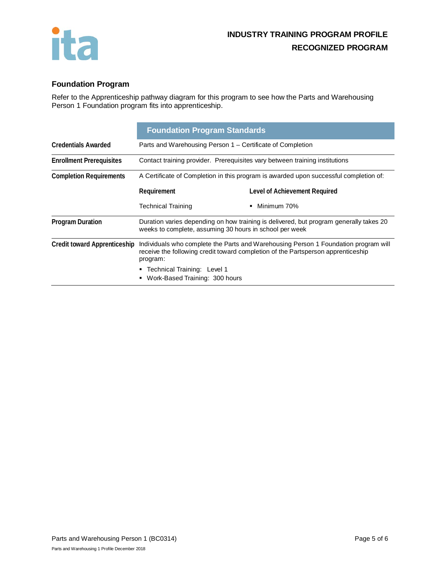

# **Foundation Program**

Refer to the Apprenticeship pathway diagram for this program to see how the Parts and Warehousing Person 1 Foundation program fits into apprenticeship.

|                                     | <b>Foundation Program Standards</b>                                                                                                                                                 |                               |  |
|-------------------------------------|-------------------------------------------------------------------------------------------------------------------------------------------------------------------------------------|-------------------------------|--|
| <b>Credentials Awarded</b>          | Parts and Warehousing Person 1 – Certificate of Completion                                                                                                                          |                               |  |
| <b>Enrollment Prerequisites</b>     | Contact training provider. Prerequisites vary between training institutions                                                                                                         |                               |  |
| <b>Completion Requirements</b>      | A Certificate of Completion in this program is awarded upon successful completion of:                                                                                               |                               |  |
|                                     | Requirement                                                                                                                                                                         | Level of Achievement Required |  |
|                                     | Technical Training                                                                                                                                                                  | Minimum 70%<br>٠              |  |
| <b>Program Duration</b>             | Duration varies depending on how training is delivered, but program generally takes 20<br>weeks to complete, assuming 30 hours in school per week                                   |                               |  |
| <b>Credit toward Apprenticeship</b> | Individuals who complete the Parts and Warehousing Person 1 Foundation program will<br>receive the following credit toward completion of the Partsperson apprenticeship<br>program: |                               |  |
|                                     | • Technical Training: Level 1                                                                                                                                                       |                               |  |
|                                     | Work-Based Training: 300 hours                                                                                                                                                      |                               |  |